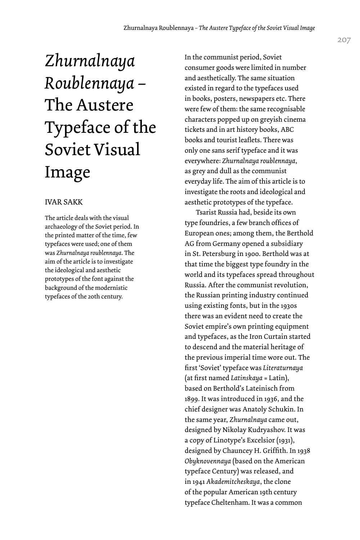# *Zhurnalnaya Roublennaya* – The Austere Typeface of the Soviet Visual Image

#### Ivar Sakk

The article deals with the visual archaeology of the Soviet period. In the printed matter of the time, few typefaces were used; one of them was *Zhurnalnaya roublennaya*. The aim of the article is to investigate the ideological and aesthetic prototypes of the font against the background of the modernistic typefaces of the 20th century.

In the communist period, Soviet consumer goods were limited in number and aesthetically. The same situation existed in regard to the typefaces used in books, posters, newspapers etc. There were few of them: the same recognisable characters popped up on greyish cinema tickets and in art history books, ABC books and tourist leaflets. There was only one sans serif typeface and it was everywhere: *Zhurnalnaya roublennaya*, as grey and dull as the communist everyday life. The aim of this article is to investigate the roots and ideological and aesthetic prototypes of the typeface.

Tsarist Russia had, beside its own type foundries, a few branch offices of European ones; among them, the Berthold AG from Germany opened a subsidiary in St. Petersburg in 1900. Berthold was at that time the biggest type foundry in the world and its typefaces spread throughout Russia. After the communist revolution, the Russian printing industry continued using existing fonts, but in the 1930s there was an evident need to create the Soviet empire's own printing equipment and typefaces, as the Iron Curtain started to descend and the material heritage of the previous imperial time wore out. The first 'Soviet' typeface was *Literaturnaya* (at first named *Latinskaya* = Latin), based on Berthold's Lateinisch from 1899. It was introduced in 1936, and the chief designer was Anatoly Schukin. In the same year, *Zhurnalnaya* came out, designed by Nikolay Kudryashov. It was a copy of Linotype's Excelsior (1931), designed by Chauncey H. Griffith. In 1938 *Obyknovennaya* (based on the American typeface Century) was released, and in 1941 *Akademitcheskaya*, the clone of the popular American 19th century typeface Cheltenham. It was a common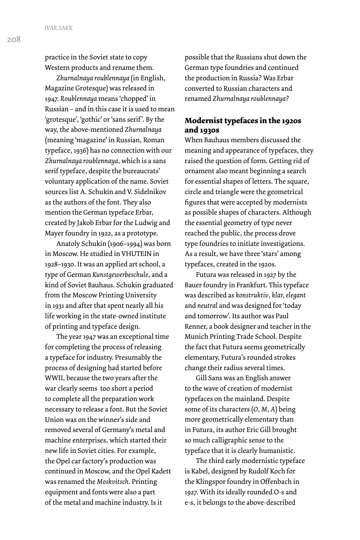*ivar sakk*

practice in the Soviet state to copy Western products and rename them.

*Zhurnalnaya roublennaya* (in English, Magazine Grotesque) was released in 1947. *Roublennaya* means 'chopped' in Russian – and in this case it is used to mean 'grotesque', 'gothic' or 'sans serif '. By the way, the above-mentioned *Zhurnalnaya* (meaning 'magazine' in Russian, Roman typeface, 1936) has no connection with our *Zhurnalnaya roublennaya,* which is a sans serif typeface, despite the bureaucrats' voluntary application of the name. Soviet sources list A. Schukin and V. Sidelnikov as the authors of the font. They also mention the German typeface Erbar, created by Jakob Erbar for the Ludwig and Mayer foundry in 1922, as a prototype.

Anatoly Schukin (1906–1994) was born in Moscow. He studied in VHUTEIN in 1928–1930. It was an applied art school, a type of German *Kunstgewerbeschule*, and a kind of Soviet Bauhaus. Schukin graduated from the Moscow Printing University in 1931 and after that spent nearly all his life working in the state-owned institute of printing and typeface design.

The year 1947 was an exceptional time for completing the process of releasing a typeface for industry. Presumably the process of designing had started before WWII, because the two years after the war clearly seems too short a period to complete all the preparation work necessary to release a font. But the Soviet Union was on the winner's side and removed several of Germany's metal and machine enterprises, which started their new life in Soviet cities. For example, the Opel car factory's production was continued in Moscow, and the Opel Kadett was renamed the *Moskvitsch*. Printing equipment and fonts were also a part of the metal and machine industry. Is it

possible that the Russians shut down the German type foundries and continued the production in Russia? Was Erbar converted to Russian characters and renamed *Zhurnalnaya roublennaya*?

## **Modernist typefaces in the 1920s and 1930s**

When Bauhaus members discussed the meaning and appearance of typefaces, they raised the question of form. Getting rid of ornament also meant beginning a search for essential shapes of letters. The square, circle and triangle were the geometrical figures that were accepted by modernists as possible shapes of characters. Although the essential geometry of type never reached the public, the process drove type foundries to initiate investigations. As a result, we have three 'stars' among typefaces, created in the 1920s.

Futura was released in 1927 by the Bauer foundry in Frankfurt. This typeface was described as *konstruktiv, klar, elegant*  and *neutral* and was designed for 'today and tomorrow'. Its author was Paul Renner, a book designer and teacher in the Munich Printing Trade School. Despite the fact that Futura seems geometrically elementary, Futura's rounded strokes change their radius several times.

Gill Sans was an English answer to the wave of creation of modernist typefaces on the mainland. Despite some of its characters (*O*, *M*, *A*) being more geometrically elementary than in Futura, its author Eric Gill brought so much calligraphic sense to the typeface that it is clearly humanistic.

The third early modernistic typeface is Kabel, designed by Rudolf Koch for the Klingspor foundry in Offenbach in 1927. With its ideally rounded O-s and e-s, it belongs to the above-described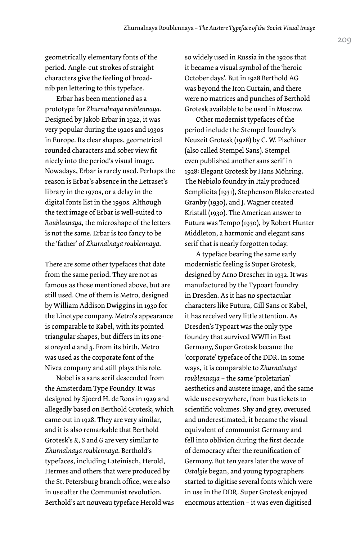geometrically elementary fonts of the period. Angle-cut strokes of straight characters give the feeling of broadnib pen lettering to this typeface.

Erbar has been mentioned as a prototype for *Zhurnalnaya roublennaya*. Designed by Jakob Erbar in 1922, it was very popular during the 1920s and 1930s in Europe. Its clear shapes, geometrical rounded characters and sober view fit nicely into the period's visual image. Nowadays, Erbar is rarely used. Perhaps the reason is Erbar's absence in the Letraset's library in the 1970s, or a delay in the digital fonts list in the 1990s. Although the text image of Erbar is well-suited to *Roublennaya*, the microshape of the letters is not the same. Erbar is too fancy to be the 'father' of *Zhurnalnaya roublennaya*.

There are some other typefaces that date from the same period. They are not as famous as those mentioned above, but are still used. One of them is Metro, designed by William Addison Dwiggins in 1930 for the Linotype company. Metro's appearance is comparable to Kabel, with its pointed triangular shapes, but differs in its onestoreyed *a* and *g*. From its birth, Metro was used as the corporate font of the Nivea company and still plays this role.

Nobel is a sans serif descended from the Amsterdam Type Foundry. It was designed by Sjoerd H. de Roos in 1929 and allegedly based on Berthold Grotesk, which came out in 1928. They are very similar, and it is also remarkable that Berthold Grotesk's *R*, *S* and *G* are very similar to *Zhurnalnaya roublennaya*. Berthold's typefaces, including Lateinisch, Herold, Hermes and others that were produced by the St. Petersburg branch office, were also in use after the Communist revolution. Berthold's art nouveau typeface Herold was

so widely used in Russia in the 1920s that it became a visual symbol of the 'heroic October days'. But in 1928 Berthold AG was beyond the Iron Curtain, and there were no matrices and punches of Berthold Grotesk available to be used in Moscow.

Other modernist typefaces of the period include the Stempel foundry's Neuzeit Grotesk (1928) by C. W. Pischiner (also called Stempel Sans). Stempel even published another sans serif in 1928: Elegant Grotesk by Hans Möhring. The Nebiolo foundry in Italy produced Semplicita (1931), Stephenson Blake created Granby (1930), and J. Wagner created Kristall (1930). The American answer to Futura was Tempo (1930), by Robert Hunter Middleton, a harmonic and elegant sans serif that is nearly forgotten today.

A typeface bearing the same early modernistic feeling is Super Grotesk, designed by Arno Drescher in 1932. It was manufactured by the Typoart foundry in Dresden. As it has no spectacular characters like Futura, Gill Sans or Kabel, it has received very little attention. As Dresden's Typoart was the only type foundry that survived WWII in East Germany, Super Grotesk became the 'corporate' typeface of the DDR. In some ways, it is comparable to *Zhurnalnaya roublennaya* – the same 'proletarian' aesthetics and austere image, and the same wide use everywhere, from bus tickets to scientific volumes. Shy and grey, overused and underestimated, it became the visual equivalent of communist Germany and fell into oblivion during the first decade of democracy after the reunification of Germany. But ten years later the wave of *Ostalgie* began, and young typographers started to digitise several fonts which were in use in the DDR. Super Grotesk enjoyed enormous attention – it was even digitised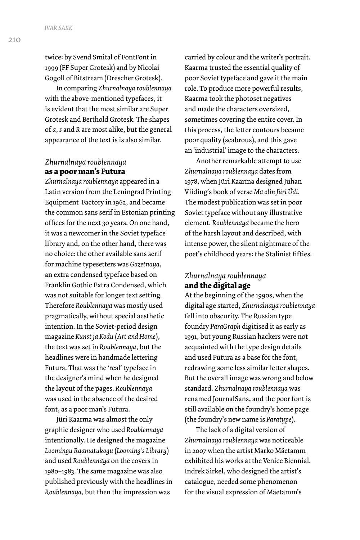twice: by Svend Smital of FontFont in 1999 (FF Super Grotesk) and by Nicolai Gogoll of Bitstream (Drescher Grotesk).

In comparing *Zhurnalnaya roublennaya* with the above-mentioned typefaces, it is evident that the most similar are Super Grotesk and Berthold Grotesk. The shapes of *a*, *s* and *R* are most alike, but the general appearance of the text is is also similar.

#### *Zhurnalnaya roublennaya*  **as a poor man's Futura**

*Zhurnalnaya roublennaya* appeared in a Latin version from the Leningrad Printing Equipment Factory in 1962, and became the common sans serif in Estonian printing offices for the next 30 years. On one hand, it was a newcomer in the Soviet typeface library and, on the other hand, there was no choice: the other available sans serif for machine typesetters was *Gazetnaya*, an extra condensed typeface based on Franklin Gothic Extra Condensed, which was not suitable for longer text setting. Therefore *Roublennaya* was mostly used pragmatically, without special aesthetic intention. In the Soviet-period design magazine *Kunst ja Kodu* (*Art and Home*), the text was set in *Roublennaya,* but the headlines were in handmade lettering Futura. That was the 'real' typeface in the designer's mind when he designed the layout of the pages. *Roublennaya* was used in the absence of the desired font, as a poor man's Futura.

Jüri Kaarma was almost the only graphic designer who used *Roublennaya* intentionally. He designed the magazine *Loomingu Raamatukogu* (*Looming's Library*) and used *Roublennaya* on the covers in 1980–1983. The same magazine was also published previously with the headlines in *Roublennaya,* but then the impression was

carried by colour and the writer's portrait. Kaarma trusted the essential quality of poor Soviet typeface and gave it the main role. To produce more powerful results, Kaarma took the photoset negatives and made the characters oversized, sometimes covering the entire cover. In this process, the letter contours became poor quality (scabrous), and this gave an 'industrial' image to the characters.

Another remarkable attempt to use *Zhurnalnaya roublennaya* dates from 1978, when Jüri Kaarma designed Juhan Viiding's book of verse *Ma olin Jüri Üdi*. The modest publication was set in poor Soviet typeface without any illustrative element. *Roublennaya* became the hero of the harsh layout and described, with intense power, the silent nightmare of the poet's childhood years: the Stalinist fifties.

### *Zhurnalnaya roublennaya*  **and the digital age**

At the beginning of the 1990s, when the digital age started, *Zhurnalnaya roublennaya* fell into obscurity. The Russian type foundry *ParaGraph* digitised it as early as 1991, but young Russian hackers were not acquainted with the type design details and used Futura as a base for the font, redrawing some less similar letter shapes. But the overall image was wrong and below standard. *Zhurnalnaya roublennaya* was renamed JournalSans, and the poor font is still available on the foundry's home page (the foundry's new name is *Paratype*).

The lack of a digital version of *Zhurnalnaya roublennaya* was noticeable in 2007 when the artist Marko Mäetamm exhibited his works at the Venice Biennial. Indrek Sirkel, who designed the artist's catalogue, needed some phenomenon for the visual expression of Mäetamm's